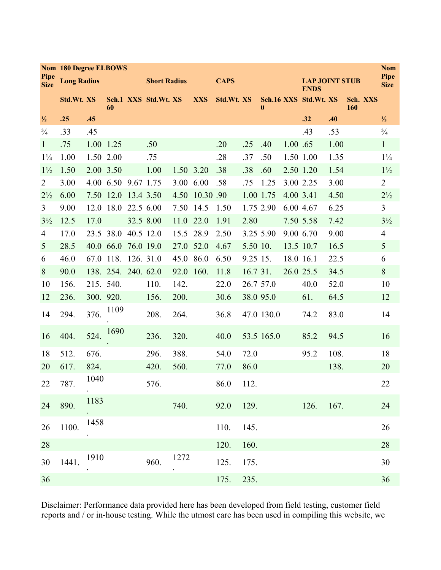|                     |                    | <b>Nom 180 Degree ELBOWS</b><br><b>Nom</b> |                     |           |                      |      |            |             |          |                  |          |                                      |      |                 |                     |
|---------------------|--------------------|--------------------------------------------|---------------------|-----------|----------------------|------|------------|-------------|----------|------------------|----------|--------------------------------------|------|-----------------|---------------------|
| Pipe<br><b>Size</b> | <b>Long Radius</b> |                                            |                     |           | <b>Short Radius</b>  |      |            | <b>CAPS</b> |          |                  |          | <b>LAP JOINT STUB</b><br><b>ENDS</b> |      |                 | Pipe<br><b>Size</b> |
|                     | Std.Wt.XS          |                                            | 60                  |           | Sch.1 XXS Std.Wt. XS |      | <b>XXS</b> | Std.Wt.XS   |          | $\boldsymbol{0}$ |          | Sch.16 XXS Std.Wt. XS                |      | Sch. XXS<br>160 |                     |
| $\frac{1}{2}$       | .25                | .45                                        |                     |           |                      |      |            |             |          |                  |          | .32                                  | .40  |                 | $\frac{1}{2}$       |
| $\frac{3}{4}$       | .33                | .45                                        |                     |           |                      |      |            |             |          |                  |          | .43                                  | .53  |                 | $\frac{3}{4}$       |
| $\mathbf{1}$        | .75                | 1.00                                       | 1.25                |           | .50                  |      |            | .20         | .25      | .40              | 1.00 .65 |                                      | 1.00 |                 | $\mathbf{1}$        |
| $1\frac{1}{4}$      | 1.00               |                                            | 1.50 2.00           |           | .75                  |      |            | .28         | .37      | .50              |          | 1.50 1.00                            | 1.35 |                 | $1\frac{1}{4}$      |
| $1\frac{1}{2}$      | 1.50               | 2.00 3.50                                  |                     |           | 1.00                 | 1.50 | 3.20       | .38         | .38      | .60              |          | 2.50 1.20                            | 1.54 |                 | $1\frac{1}{2}$      |
| 2                   | 3.00               |                                            | 4.00 6.50 9.67 1.75 |           |                      | 3.00 | 6.00       | .58         | .75      | 1.25             |          | 3.00 2.25                            | 3.00 |                 | $\overline{2}$      |
| $2\frac{1}{2}$      | 6.00               |                                            | 7.50 12.0 13.4 3.50 |           |                      | 4.50 | 10.30 .90  |             |          | 1.00 1.75        |          | 4.00 3.41                            | 4.50 |                 | $2\frac{1}{2}$      |
| $\mathfrak{Z}$      | 9.00               | 12.0                                       | 18.0                | 22.5 6.00 |                      | 7.50 | 14.5       | 1.50        |          | 1.75 2.90        |          | 6.00 4.67                            | 6.25 |                 | 3                   |
| $3\frac{1}{2}$      | 12.5               | 17.0                                       |                     |           | 32.5 8.00            | 11.0 | 22.0       | 1.91        | 2.80     |                  |          | 7.50 5.58                            | 7.42 |                 | $3\frac{1}{2}$      |
| $\overline{4}$      | 17.0               |                                            | 23.5 38.0           | 40.5 12.0 |                      | 15.5 | 28.9       | 2.50        |          | 3.25 5.90        |          | 9.00 6.70                            | 9.00 |                 | $\overline{4}$      |
| 5                   | 28.5               |                                            | 40.0 66.0 76.0 19.0 |           |                      | 27.0 | 52.0       | 4.67        | 5.50 10. |                  |          | 13.5 10.7                            | 16.5 |                 | 5                   |
| 6                   | 46.0               | 67.0                                       | 118.                | 126. 31.0 |                      | 45.0 | 86.0       | 6.50        | 9.25 15. |                  |          | 18.0 16.1                            | 22.5 |                 | 6                   |
| 8                   | 90.0               |                                            | 138. 254. 240. 62.0 |           |                      | 92.0 | 160.       | 11.8        | 16.7 31. |                  |          | 26.0 25.5                            | 34.5 |                 | 8                   |
| 10                  | 156.               | 215. 540.                                  |                     |           | 110.                 | 142. |            | 22.0        |          | 26.7 57.0        |          | 40.0                                 | 52.0 |                 | 10                  |
| 12                  | 236.               |                                            | 300. 920.           |           | 156.                 | 200. |            | 30.6        |          | 38.0 95.0        |          | 61.                                  | 64.5 |                 | 12                  |
| 14                  | 294.               | 376.                                       | 1109                |           | 208.                 | 264. |            | 36.8        |          | 47.0 130.0       |          | 74.2                                 | 83.0 |                 | 14                  |
| 16                  | 404.               | 524.                                       | 1690                |           | 236.                 | 320. |            | 40.0        |          | 53.5 165.0       |          | 85.2                                 | 94.5 |                 | 16                  |
| 18                  | 512.               | 676.                                       |                     |           | 296.                 | 388. |            | 54.0        | 72.0     |                  |          | 95.2                                 | 108. |                 | 18                  |
| 20                  | 617.               | 824.                                       |                     |           | 420.                 | 560. |            | 77.0        | 86.0     |                  |          |                                      | 138. |                 | 20                  |
| $22\,$              | 787.               | 1040                                       |                     |           | 576.                 |      |            | 86.0        | 112.     |                  |          |                                      |      |                 | $22\,$              |
| 24                  | 890.               | 1183                                       |                     |           |                      | 740. |            | 92.0 129.   |          |                  |          | $126.$ 167.                          |      |                 | 24                  |
| 26                  | 1100.              | 1458                                       |                     |           |                      |      |            | 110.        | 145.     |                  |          |                                      |      |                 | 26                  |
| 28                  |                    |                                            |                     |           |                      |      |            | 120.        | 160.     |                  |          |                                      |      |                 | 28                  |
| 30                  | 1441.              | 1910                                       |                     |           | 960.                 | 1272 |            | 125.        | 175.     |                  |          |                                      |      |                 | 30                  |
| 36                  |                    |                                            |                     |           |                      |      |            | 175.        | 235.     |                  |          |                                      |      |                 | 36                  |

Disclaimer: Performance data provided here has been developed from field testing, customer field reports and / or in-house testing. While the utmost care has been used in compiling this website, we